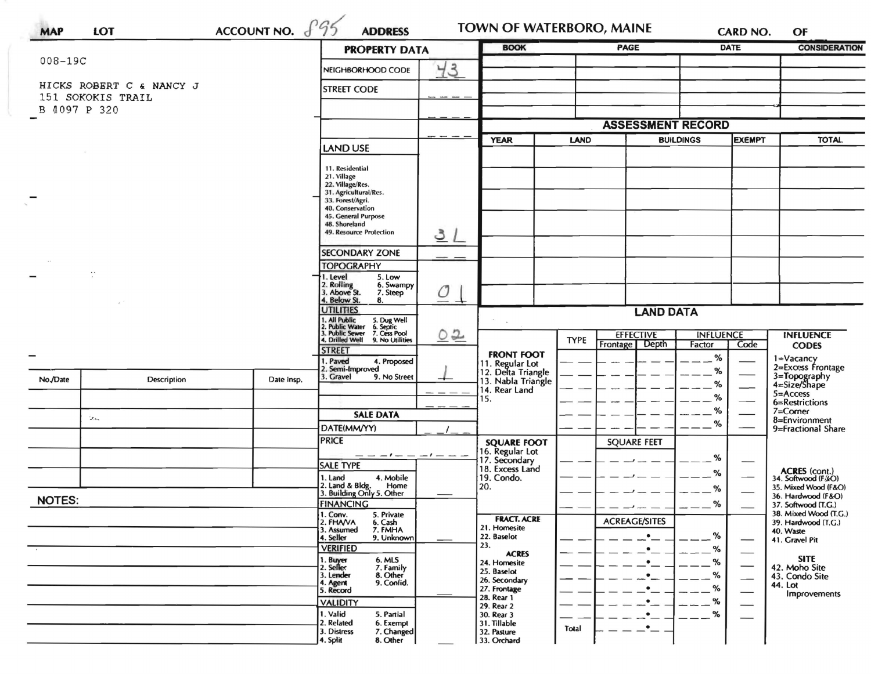| <b>MAP</b>                                    | LOT                        | ACCOUNT NO. $f$ 95           | <b>ADDRESS</b>                                                                                                                                                                                                                                                                                                                                                                                                                                                                                                                                                                                                                                                                                                                                                                                                                                                                                                                                                                                                                                                                                                                                                                                                                                                                                                              |                                                                                                                         |                                                     |       |                      |      |                                              | OF                                         |
|-----------------------------------------------|----------------------------|------------------------------|-----------------------------------------------------------------------------------------------------------------------------------------------------------------------------------------------------------------------------------------------------------------------------------------------------------------------------------------------------------------------------------------------------------------------------------------------------------------------------------------------------------------------------------------------------------------------------------------------------------------------------------------------------------------------------------------------------------------------------------------------------------------------------------------------------------------------------------------------------------------------------------------------------------------------------------------------------------------------------------------------------------------------------------------------------------------------------------------------------------------------------------------------------------------------------------------------------------------------------------------------------------------------------------------------------------------------------|-------------------------------------------------------------------------------------------------------------------------|-----------------------------------------------------|-------|----------------------|------|----------------------------------------------|--------------------------------------------|
|                                               |                            | <b>PROPERTY DATA</b>         |                                                                                                                                                                                                                                                                                                                                                                                                                                                                                                                                                                                                                                                                                                                                                                                                                                                                                                                                                                                                                                                                                                                                                                                                                                                                                                                             | <b>BOOK</b>                                                                                                             |                                                     | PAGE  |                      |      | <b>CONSIDERATION</b>                         |                                            |
| 008-19C                                       |                            |                              | NEIGHBORHOOD CODE                                                                                                                                                                                                                                                                                                                                                                                                                                                                                                                                                                                                                                                                                                                                                                                                                                                                                                                                                                                                                                                                                                                                                                                                                                                                                                           |                                                                                                                         |                                                     |       |                      |      |                                              |                                            |
| HICKS ROBERT C & NANCY J<br>151 SOKOKIS TRAIL |                            |                              | <b>STREET CODE</b>                                                                                                                                                                                                                                                                                                                                                                                                                                                                                                                                                                                                                                                                                                                                                                                                                                                                                                                                                                                                                                                                                                                                                                                                                                                                                                          |                                                                                                                         |                                                     |       |                      |      |                                              |                                            |
| B 4097 P 320                                  |                            |                              |                                                                                                                                                                                                                                                                                                                                                                                                                                                                                                                                                                                                                                                                                                                                                                                                                                                                                                                                                                                                                                                                                                                                                                                                                                                                                                                             |                                                                                                                         |                                                     |       |                      |      |                                              |                                            |
|                                               |                            |                              | <b>TOWN OF WATERBORO, MAINE</b><br><b>CARD NO.</b><br><b>DATE</b><br>43<br><b>ASSESSMENT RECORD</b><br><b>BUILDINGS</b><br><b>EXEMPT</b><br><b>YEAR</b><br><b>LAND</b><br><b>LAND USE</b><br>11. Residential<br>21. Village<br>22. Village/Res.<br>31. Agricultural/Res.<br>33. Forest/Agri.<br>40. Conservation<br>45. General Purpose<br>48. Shoreland<br>49. Resource Protection<br><u>31</u><br><b>SECONDARY ZONE</b><br><b>TOPOGRAPHY</b><br>5. Low<br>1. Level<br>2. Rolling<br>3. Above St.<br>6. Swampy<br>O<br>7. Steep<br>4. Below St.<br>8.<br><b>UTILITIES</b><br><b>LAND DATA</b><br>1, All Public<br>2. Public Water<br>3. Public Sewer<br>4. Drilled Well<br>5. Dug Well<br>6. Septic<br>7. Cess Pool<br>9. No Utilities<br><u>02</u><br><b>EFFECTIVE</b><br><b>INFLUENCE</b><br><b>INFLUENCE</b><br><b>TYPE</b><br>Frontage<br>Depth<br>Factor<br>Code<br><b>CODES</b><br><b>STREET</b><br><b>FRONT FOOT</b><br>%<br>I. Paved<br>4. Proposed<br>11. Regular Lot<br>12. Delta Triangle<br>2. Semi-Improved<br>%<br>3=Topography<br>4=Size/Shape<br>3. Gravel<br>9. No Street<br>13. Nabla Triangle<br>%<br>14. Rear Land<br>$5 =$ Access<br>%<br>15.<br>6=Restrictions<br>%<br>7=Corner<br><b>SALE DATA</b><br>8=Environment<br>%<br>DATE(MM/YY)<br><b>PRICE</b><br><b>SQUARE FEET</b><br><b>SQUARE FOOT</b> |                                                                                                                         |                                                     |       |                      |      |                                              |                                            |
|                                               |                            |                              |                                                                                                                                                                                                                                                                                                                                                                                                                                                                                                                                                                                                                                                                                                                                                                                                                                                                                                                                                                                                                                                                                                                                                                                                                                                                                                                             |                                                                                                                         |                                                     |       |                      |      | <b>TOTAL</b>                                 |                                            |
|                                               |                            |                              |                                                                                                                                                                                                                                                                                                                                                                                                                                                                                                                                                                                                                                                                                                                                                                                                                                                                                                                                                                                                                                                                                                                                                                                                                                                                                                                             |                                                                                                                         |                                                     |       |                      |      |                                              |                                            |
|                                               |                            |                              |                                                                                                                                                                                                                                                                                                                                                                                                                                                                                                                                                                                                                                                                                                                                                                                                                                                                                                                                                                                                                                                                                                                                                                                                                                                                                                                             |                                                                                                                         |                                                     |       |                      |      |                                              |                                            |
|                                               | ÷                          |                              | 1=Vacancy<br>2=Excess Frontage<br>Date Insp.                                                                                                                                                                                                                                                                                                                                                                                                                                                                                                                                                                                                                                                                                                                                                                                                                                                                                                                                                                                                                                                                                                                                                                                                                                                                                |                                                                                                                         |                                                     |       |                      |      |                                              |                                            |
|                                               |                            |                              |                                                                                                                                                                                                                                                                                                                                                                                                                                                                                                                                                                                                                                                                                                                                                                                                                                                                                                                                                                                                                                                                                                                                                                                                                                                                                                                             |                                                                                                                         |                                                     |       |                      |      |                                              |                                            |
|                                               |                            |                              |                                                                                                                                                                                                                                                                                                                                                                                                                                                                                                                                                                                                                                                                                                                                                                                                                                                                                                                                                                                                                                                                                                                                                                                                                                                                                                                             |                                                                                                                         |                                                     |       |                      |      |                                              |                                            |
|                                               |                            |                              |                                                                                                                                                                                                                                                                                                                                                                                                                                                                                                                                                                                                                                                                                                                                                                                                                                                                                                                                                                                                                                                                                                                                                                                                                                                                                                                             |                                                                                                                         |                                                     |       |                      |      |                                              |                                            |
|                                               |                            |                              |                                                                                                                                                                                                                                                                                                                                                                                                                                                                                                                                                                                                                                                                                                                                                                                                                                                                                                                                                                                                                                                                                                                                                                                                                                                                                                                             |                                                                                                                         |                                                     |       |                      |      |                                              |                                            |
| No./Date                                      | Description                |                              |                                                                                                                                                                                                                                                                                                                                                                                                                                                                                                                                                                                                                                                                                                                                                                                                                                                                                                                                                                                                                                                                                                                                                                                                                                                                                                                             |                                                                                                                         |                                                     |       |                      |      |                                              |                                            |
|                                               |                            |                              |                                                                                                                                                                                                                                                                                                                                                                                                                                                                                                                                                                                                                                                                                                                                                                                                                                                                                                                                                                                                                                                                                                                                                                                                                                                                                                                             |                                                                                                                         |                                                     |       |                      |      |                                              |                                            |
|                                               | $\mathcal{L}_{\text{obs}}$ |                              |                                                                                                                                                                                                                                                                                                                                                                                                                                                                                                                                                                                                                                                                                                                                                                                                                                                                                                                                                                                                                                                                                                                                                                                                                                                                                                                             |                                                                                                                         |                                                     |       |                      |      |                                              |                                            |
|                                               |                            |                              |                                                                                                                                                                                                                                                                                                                                                                                                                                                                                                                                                                                                                                                                                                                                                                                                                                                                                                                                                                                                                                                                                                                                                                                                                                                                                                                             |                                                                                                                         |                                                     |       |                      |      |                                              | 9=Fractional Share                         |
|                                               |                            |                              |                                                                                                                                                                                                                                                                                                                                                                                                                                                                                                                                                                                                                                                                                                                                                                                                                                                                                                                                                                                                                                                                                                                                                                                                                                                                                                                             |                                                                                                                         |                                                     |       |                      |      |                                              |                                            |
|                                               |                            |                              | <b>SALE TYPE</b>                                                                                                                                                                                                                                                                                                                                                                                                                                                                                                                                                                                                                                                                                                                                                                                                                                                                                                                                                                                                                                                                                                                                                                                                                                                                                                            |                                                                                                                         | 16. Regular Lot<br>17. Secondary<br>18. Excess Land |       |                      | %    |                                              |                                            |
|                                               |                            |                              | 4. Mobile<br>1. Land                                                                                                                                                                                                                                                                                                                                                                                                                                                                                                                                                                                                                                                                                                                                                                                                                                                                                                                                                                                                                                                                                                                                                                                                                                                                                                        |                                                                                                                         | 19. Condo.                                          |       |                      | %    |                                              | <b>ACRES</b> (cont.)<br>34. Softwood (F&O) |
|                                               |                            |                              | 2. Land & Bldg. Home<br>3. Building Only 5. Other<br>Home                                                                                                                                                                                                                                                                                                                                                                                                                                                                                                                                                                                                                                                                                                                                                                                                                                                                                                                                                                                                                                                                                                                                                                                                                                                                   |                                                                                                                         | 20.                                                 |       |                      | %    |                                              | 35. Mixed Wood (F&O)<br>36. Hardwood (F&O) |
| <b>NOTES:</b>                                 |                            | <b>FINANCING</b><br>1. Conv. |                                                                                                                                                                                                                                                                                                                                                                                                                                                                                                                                                                                                                                                                                                                                                                                                                                                                                                                                                                                                                                                                                                                                                                                                                                                                                                                             |                                                                                                                         |                                                     |       | %                    |      | 37. Softwood (T.G.)<br>38. Mixed Wood (T.G.) |                                            |
|                                               |                            |                              | 5. Private<br>2. FHAVA<br>6. Cash<br>7. FMHA                                                                                                                                                                                                                                                                                                                                                                                                                                                                                                                                                                                                                                                                                                                                                                                                                                                                                                                                                                                                                                                                                                                                                                                                                                                                                |                                                                                                                         | <b>FRACT. ACRE</b><br>21. Homesite                  |       | <b>ACREAGE/SITES</b> |      |                                              | 39. Hardwood (T.G.)                        |
|                                               |                            |                              | 3. Assumed<br>4. Seller<br>9. Unknown                                                                                                                                                                                                                                                                                                                                                                                                                                                                                                                                                                                                                                                                                                                                                                                                                                                                                                                                                                                                                                                                                                                                                                                                                                                                                       |                                                                                                                         | 22. Baselot                                         |       |                      | $\%$ |                                              | 40. Waste<br>41. Gravel Pit                |
|                                               |                            |                              | <b>VERIFIED</b>                                                                                                                                                                                                                                                                                                                                                                                                                                                                                                                                                                                                                                                                                                                                                                                                                                                                                                                                                                                                                                                                                                                                                                                                                                                                                                             |                                                                                                                         | 23.<br><b>ACRES</b>                                 |       |                      | %    |                                              |                                            |
|                                               |                            |                              | 1. Buyer<br>2. Seller<br>6. MLS<br>7. Family                                                                                                                                                                                                                                                                                                                                                                                                                                                                                                                                                                                                                                                                                                                                                                                                                                                                                                                                                                                                                                                                                                                                                                                                                                                                                |                                                                                                                         |                                                     |       |                      |      |                                              | 42. Moho Site                              |
|                                               |                            |                              | 3. Lender<br>8. Other<br>9. Confid.<br>4. Agent<br>5. Record                                                                                                                                                                                                                                                                                                                                                                                                                                                                                                                                                                                                                                                                                                                                                                                                                                                                                                                                                                                                                                                                                                                                                                                                                                                                | <b>SITE</b><br>%<br>24. Homesite<br>25. Baselot<br>%<br>43. Condo Site<br>26. Secondary<br>44. Lot<br>%<br>27. Frontage |                                                     |       |                      |      |                                              |                                            |
|                                               |                            |                              | <b>VALIDITY</b>                                                                                                                                                                                                                                                                                                                                                                                                                                                                                                                                                                                                                                                                                                                                                                                                                                                                                                                                                                                                                                                                                                                                                                                                                                                                                                             |                                                                                                                         | 28. Rear 1                                          |       |                      | ℅    |                                              | Improvements                               |
|                                               |                            |                              | 1. Valid<br>5. Partial                                                                                                                                                                                                                                                                                                                                                                                                                                                                                                                                                                                                                                                                                                                                                                                                                                                                                                                                                                                                                                                                                                                                                                                                                                                                                                      |                                                                                                                         | 29. Rear 2<br>30. Rear 3                            |       |                      | %    |                                              |                                            |
|                                               |                            |                              | 2. Related<br>6. Exempt<br>7. Changed<br>3. Distress<br>8. Other<br>4. Split                                                                                                                                                                                                                                                                                                                                                                                                                                                                                                                                                                                                                                                                                                                                                                                                                                                                                                                                                                                                                                                                                                                                                                                                                                                |                                                                                                                         | 31. Tillable<br>32. Pasture<br>33. Orchard          | Total |                      |      |                                              |                                            |